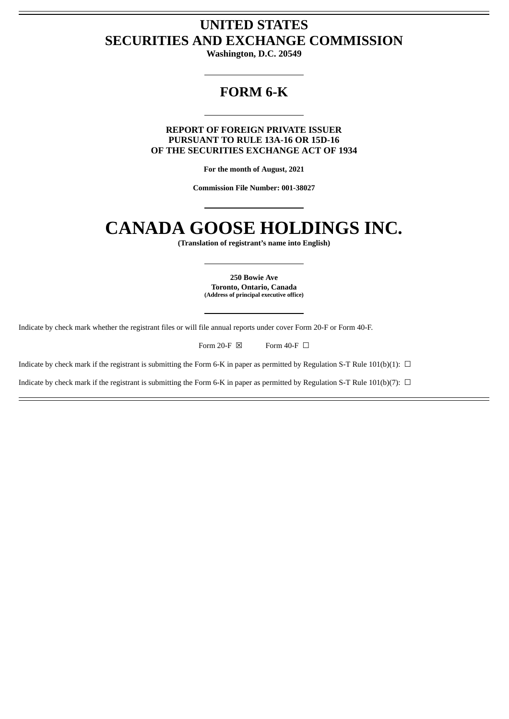# **UNITED STATES SECURITIES AND EXCHANGE COMMISSION**

**Washington, D.C. 20549**

# **FORM 6-K**

**REPORT OF FOREIGN PRIVATE ISSUER PURSUANT TO RULE 13A-16 OR 15D-16 OF THE SECURITIES EXCHANGE ACT OF 1934**

**For the month of August, 2021**

**Commission File Number: 001-38027**

# **CANADA GOOSE HOLDINGS INC.**

**(Translation of registrant's name into English)**

**250 Bowie Ave Toronto, Ontario, Canada (Address of principal executive office)**

Indicate by check mark whether the registrant files or will file annual reports under cover Form 20-F or Form 40-F.

Form 20-F  $\boxtimes$  Form 40-F  $\Box$ 

Indicate by check mark if the registrant is submitting the Form 6-K in paper as permitted by Regulation S-T Rule 101(b)(1):  $\Box$ 

Indicate by check mark if the registrant is submitting the Form 6-K in paper as permitted by Regulation S-T Rule 101(b)(7):  $\Box$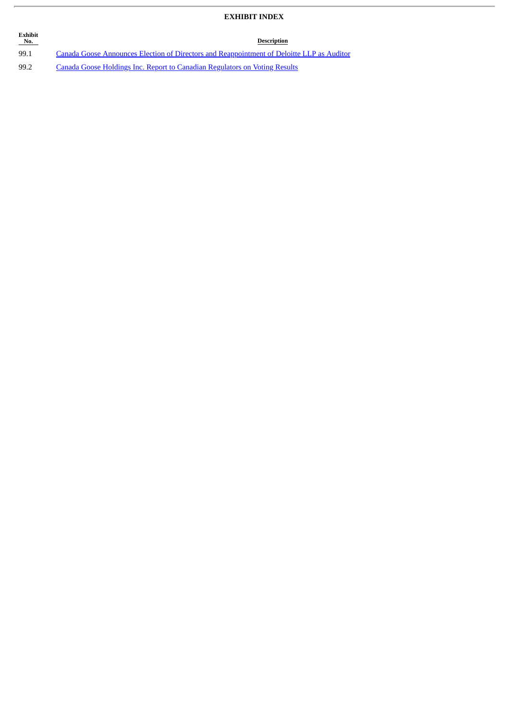## **EXHIBIT INDEX**

| Exhibit<br>No. | Description                                                                               |
|----------------|-------------------------------------------------------------------------------------------|
| 99.1           | Canada Goose Announces Election of Directors and Reappointment of Deloitte LLP as Auditor |
| 99.2           | Canada Goose Holdings Inc. Report to Canadian Regulators on Voting Results                |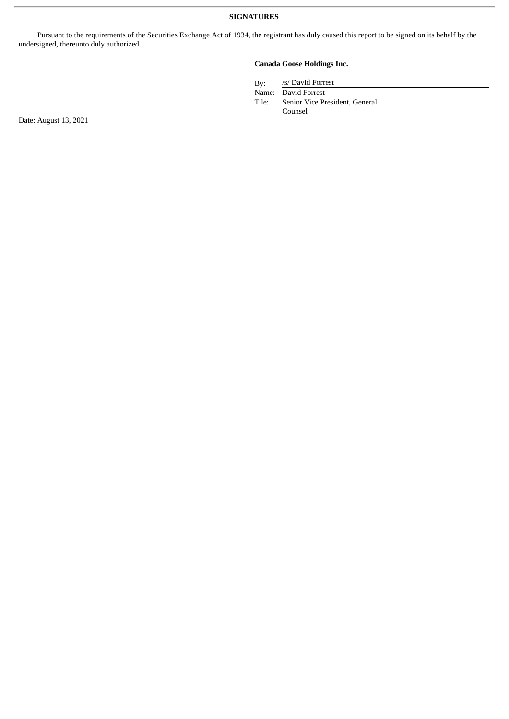Pursuant to the requirements of the Securities Exchange Act of 1934, the registrant has duly caused this report to be signed on its behalf by the undersigned, thereunto duly authorized.

### **Canada Goose Holdings Inc.**

By: /s/ David Forrest

Name: David Forrest<br>Tile: Senior Vice Pi Senior Vice President, General Counsel

Date: August 13, 2021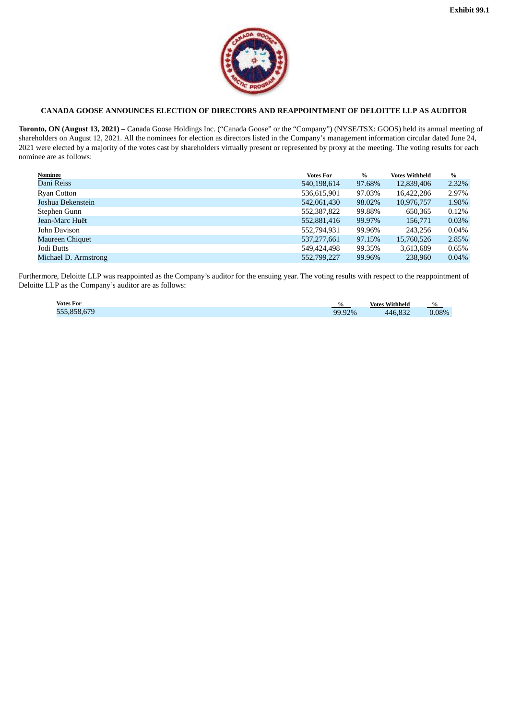

## <span id="page-3-0"></span>**CANADA GOOSE ANNOUNCES ELECTION OF DIRECTORS AND REAPPOINTMENT OF DELOITTE LLP AS AUDITOR**

**Toronto, ON (August 13, 2021) –** Canada Goose Holdings Inc. ("Canada Goose" or the "Company") (NYSE/TSX: GOOS) held its annual meeting of shareholders on August 12, 2021. All the nominees for election as directors listed in the Company's management information circular dated June 24, 2021 were elected by a majority of the votes cast by shareholders virtually present or represented by proxy at the meeting. The voting results for each nominee are as follows:

| Nominee                | <b>Votes For</b> | %      | <b>Votes Withheld</b> | %     |
|------------------------|------------------|--------|-----------------------|-------|
| Dani Reiss             | 540,198,614      | 97.68% | 12,839,406            | 2.32% |
| Ryan Cotton            | 536,615,901      | 97.03% | 16,422,286            | 2.97% |
| Joshua Bekenstein      | 542,061,430      | 98.02% | 10,976,757            | 1.98% |
| Stephen Gunn           | 552,387,822      | 99.88% | 650,365               | 0.12% |
| Jean-Marc Huët         | 552,881,416      | 99.97% | 156,771               | 0.03% |
| John Davison           | 552,794,931      | 99.96% | 243,256               | 0.04% |
| <b>Maureen Chiquet</b> | 537,277,661      | 97.15% | 15,760,526            | 2.85% |
| Jodi Butts             | 549.424.498      | 99.35% | 3,613,689             | 0.65% |
| Michael D. Armstrong   | 552,799,227      | 99.96% | 238,960               | 0.04% |

Furthermore, Deloitte LLP was reappointed as the Company's auditor for the ensuing year. The voting results with respect to the reappointment of Deloitte LLP as the Company's auditor are as follows:

| <b>Votes For</b> | %      | <b>Votes Withheld</b>    | $\%$     |
|------------------|--------|--------------------------|----------|
| 555.858.679      | 99.92% | $\overline{AB}$<br>0.832 | $0.08\%$ |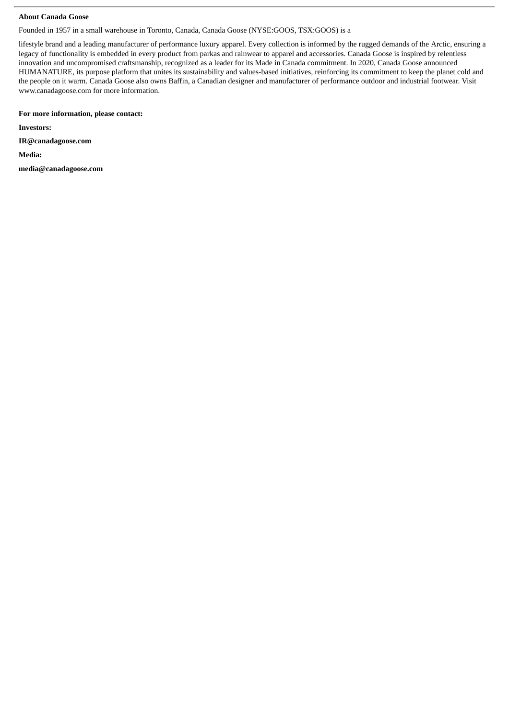#### **About Canada Goose**

Founded in 1957 in a small warehouse in Toronto, Canada, Canada Goose (NYSE:GOOS, TSX:GOOS) is a

lifestyle brand and a leading manufacturer of performance luxury apparel. Every collection is informed by the rugged demands of the Arctic, ensuring a legacy of functionality is embedded in every product from parkas and rainwear to apparel and accessories. Canada Goose is inspired by relentless innovation and uncompromised craftsmanship, recognized as a leader for its Made in Canada commitment. In 2020, Canada Goose announced HUMANATURE, its purpose platform that unites its sustainability and values-based initiatives, reinforcing its commitment to keep the planet cold and the people on it warm. Canada Goose also owns Baffin, a Canadian designer and manufacturer of performance outdoor and industrial footwear. Visit www.canadagoose.com for more information.

#### **For more information, please contact:**

**Investors:**

**IR@canadagoose.com**

**Media:**

**media@canadagoose.com**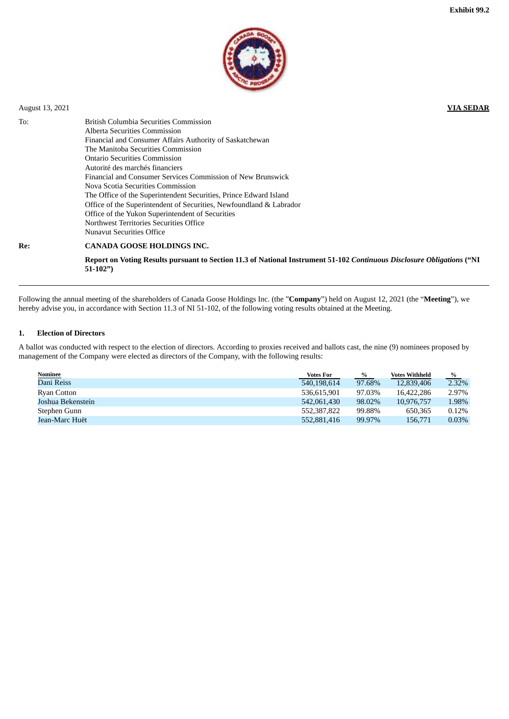

<span id="page-5-0"></span>

| August 13, 2021 |                                                                                                                                                                                                                                                                                                                                                                                                                                                                                                                                                                                                     | <b>VIA SEDAR</b> |
|-----------------|-----------------------------------------------------------------------------------------------------------------------------------------------------------------------------------------------------------------------------------------------------------------------------------------------------------------------------------------------------------------------------------------------------------------------------------------------------------------------------------------------------------------------------------------------------------------------------------------------------|------------------|
| To:             | <b>British Columbia Securities Commission</b><br>Alberta Securities Commission<br>Financial and Consumer Affairs Authority of Saskatchewan<br>The Manitoba Securities Commission<br>Ontario Securities Commission<br>Autorité des marchés financiers<br>Financial and Consumer Services Commission of New Brunswick<br>Nova Scotia Securities Commission<br>The Office of the Superintendent Securities, Prince Edward Island<br>Office of the Superintendent of Securities, Newfoundland & Labrador<br>Office of the Yukon Superintendent of Securities<br>Northwest Territories Securities Office |                  |
| Re:             | <b>Nunavut Securities Office</b><br><b>CANADA GOOSE HOLDINGS INC.</b>                                                                                                                                                                                                                                                                                                                                                                                                                                                                                                                               |                  |
|                 |                                                                                                                                                                                                                                                                                                                                                                                                                                                                                                                                                                                                     |                  |

Report on Voting Results pursuant to Section 11.3 of National Instrument 51-102 Continuous Disclosure Obligations ("NI **51-102")**

Following the annual meeting of the shareholders of Canada Goose Holdings Inc. (the "**Company**") held on August 12, 2021 (the "**Meeting**"), we hereby advise you, in accordance with Section 11.3 of NI 51-102, of the following voting results obtained at the Meeting.

#### **1. Election of Directors**

A ballot was conducted with respect to the election of directors. According to proxies received and ballots cast, the nine (9) nominees proposed by management of the Company were elected as directors of the Company, with the following results:

| <u>Nominee</u>    | <b>Votes For</b> | $\%$   | <b>Votes Withheld</b> | %     |
|-------------------|------------------|--------|-----------------------|-------|
| Dani Reiss        | 540,198,614      | 97.68% | 12,839,406            | 2.32% |
| Ryan Cotton       | 536.615.901      | 97.03% | 16.422.286            | 2.97% |
| Joshua Bekenstein | 542.061.430      | 98.02% | 10.976.757            | 1.98% |
| Stephen Gunn      | 552.387.822      | 99.88% | 650,365               | 0.12% |
| Jean-Marc Huët    | 552.881.416      | 99.97% | 156,771               | 0.03% |